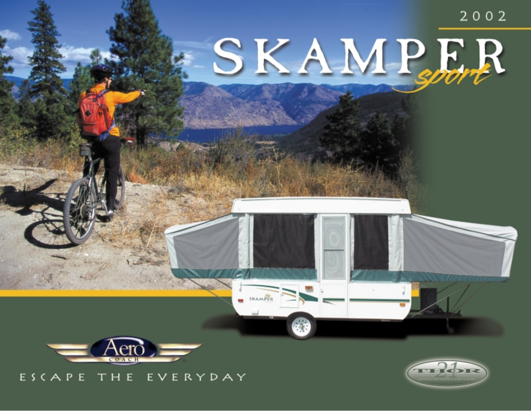



# ESCAPE THE EVERYDAY